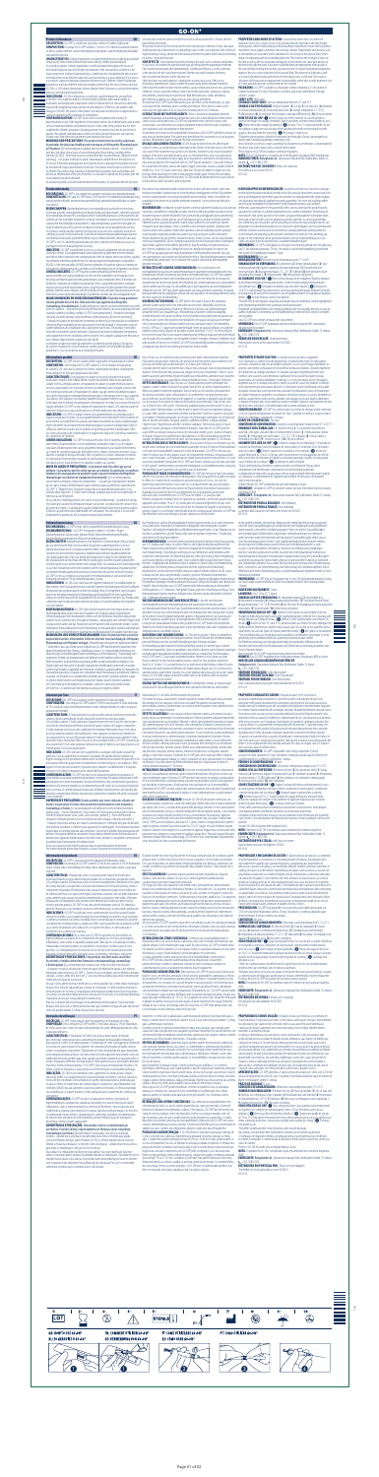# **GO-ON®**

## **Product Information**

**DESCRIPTION:** GO-ON® is a sterile non-pyrogenic solution of Sodium Hyaluronate.<br>**COMPOSITION:** A syringe of GO-ON® contains 2.5 ml of a 196 Sodium Hyaluronate solution<br>as well as sodium chloride, sodium monohydrogen phosp





9063

and water for injection.<br>**CHARACTERISTICS:** Sodium Hyaluronate is a natural high molecular weight polysaccharide<br>composed of a linear chain of disaccharide units made by sodium glucuronate and N-acetylglucosamine. Sodium Hyaluronate is widely distributed throughout the tissues of the human body and is present in high concentrations in the synovial fluid, of which it is the major component. Sodium hyaluronate plays a significant role in modulating the physical and mechanical interaction between adjacent tissues functioning as a tissue lubricant; it acts also as a viscoelastic support maintaining separation between tissues. Different Sodium Hyaluronate preparations may have different molecular weights but they have the same chemical structure. GO-ON is a 1% Sodium Hyaluronate solution obtained from *Streptococcus equi* by fermentation

processes and subsequent purification. **INDICATIONS:** GO-ON is indicated as a viscoelastic supplementation for synovial fluid in the knee. Viscosupplementation is recommended in patients with normal weight or<br>moderately overweight with symptomatic mild to moderate knee OA who are not sufficiently<br>improved by nonpharmacological treatment and analg analgesics/ NSAIDs. The actions of the product are lubrication and mechanical support and it is

I**n particular, the physician should possess training as an Orthopedist, Rheumatologist<br><b>or Physiatrist. |** Recommendations regarding injection techniques include: – Ensuring the<br>joint does not show clinical signs of acute injecting GO-ON; | - Removing excessive synovial fluid (due to joint effusion), if present, before injecting; | - Use aseptic technique to avoid contamination and infection in the injection site. Do not use if the blister packaging has been opened and/or is damaged. The product must not be used after the expiry date indicated on the box. The product must be kept out of the reach of children. This product may worsen local inflammation in patients with osteoarthritis who present an inflammation of the joint. Therefore, it is advisable to administer the product after the local symptom has been alleviated.

Local pain may rarely occur after administration of the product. To avoid pain after the injection,

voor injectie. **EIGENSCHAPPEN:** Natriumhyaluronaat is een natuurlijke polysaccharide met een hoog moleculair gewicht, samengesteld uit een lineaire ketting van disaccharide-eenheden, gevormd<br>door natriumglucuronaat en N-acetylglucosamine. Natriumhyaluronaat is sterk verspreid in alle<br>weefsels van het menselijke lichaam waarvan het het belangrijkste bestanddeel is. Natriumhyaluronaat speelt een belangrijke rol<br>bij de modulering van de fysische en mechanische interactie tussen aangrenzende weefsels,<br>en werkt als smering van het weefsel; he scheiding tussen de weefsels behoudt. Verschillende natriumhyaluronaatbereidingen kunnen<br>verschillende moleculaire gewichten hebben, maar ze hebben dezelfde chemische structuur.<br>GO-ON® is een 196 natriumhyaluronaatoplossin

gistingsprocessen en daaropvolgende zuivering.<br>**INDICATIES:** GO-ON® is geïndiceerd als een visco-elastisch supplement voor de synoviale<br>vloeistof in de knie. Viscosupplementatie wordt aanbevolen bij patiënten met een norma gewicht tot licht overgewicht met symptomatische lichte tot matige artrose van de knie, waarbij<br>onvoldoende verbetering optreedt met niet-farmacologische behandelingen en pijnstillers/<br>NSAID's, of die geen pijnstillers/NSA mechanische ondersteuning en is geschikt voor de behandeling van de symptomen van artrose.<br>**CONTRA-INDICATIES:** GO-ON® mag niet worden gebruikt bij patiënten met een<br>voorgeschiedenis van overgevoeligheid voor één van de be

suited for treatment of the symptoms of osteoarthritis. **CONTRAINDICATIONS:** GO-ON® must not be used in patients with a history of hypersensitivity to any of the ingredients of the product and in case of inflammatory joint disease<br>such as rheumatoid arthritis or Bechterew disease. As the safety of this product has not been<br>established in children, pre patients. Recognized contraindications to the use of intra-articular hyaluronic acid injection include active joint infections, bacteremia and overlying skin disease. **WARNING AND PRECAUTIONS:** This product should only be used by a physician.

het geval van inflammatoire gewrichtsaandoeningen, zoals reumatoïde artritis of de ziekte van<br>Bechterew. Aangezien de veiligheid van dit product niet is vastgesteld bij kinderen, zwangere<br>vrouwen of vrouwen die borstvoedin gebruikt. Erkende contra-indicaties voor het gebruik van intra-articulaire hyaluronzuurinjecties zijn onder meer actieve gewrichtsontstekingen, bacteriëmie en ziekte van de bovenliggende huid. **WAARSCHUWINGEN EN VOORZORGSMAATREGELEN:** Dit product mag uitsluitend

worden gebruikt door een arts. Deze arts moet zijn opgeleid als orthopedist,<br>reumatoloog of revalidatiearts. | Aanbevelingen ten aanzien van injectietechnieken zijn onder<br>meer de volgende: – Zorg dat het gewricht geen klin

(warmte, roodheid, zwelling) voordat GO-ON® wordt geïnjecteerd; | – Verwijder overmatige<br>synoviale vloeistof (vanwege gewrichtseffusie), indien aanwezig, alvorens te injecteren; |<br>– Gebruik een aseptische techniek om besme Gebruik de blisterverpakking niet als deze geopend en/of beschadigd is. Het product mag niet<br>worden gebruikt na de vervaldatum die is aangegeven op de doos. Het product moet buiten<br>het bereik van kinderen worden gehouden. artrosepatiënten met een ontsteking van het gewricht. Het is daarom raadzaam om het product<br>toe te dienen nadat de lokale symptomen zijn verlicht.<br>In zeldzame gevallen kan lokale pijn optreden na toediening van het product

## **Productinformatie NL**

**BESCHRIJVING:** GO-ON® is een steriele niet-pyrogene oplossing van natriumhyaluronaat. **SAMENSTELLING:** Eén spuit GO-ON® bevat 2,5 ml van een 1% natriumhyaluronaatoplossing, evenals natriumchloride, natriummonowaterstoffosfaat, natriumdiwaterstoffosfaat en water

**DESCRIPTION :** GO-ON® est une solution stérile et apyrogène de hyaluronate de sodium. **COMPOSITION :** Une seringue de GO-ON® contient 2,5 ml de solution de hyaluronate de sodium à 1%, ainsi que du chlorure de sodium, du phosphate disodique, du phosphate mon que et annonce de l'allen, les p

articulaires actives, la bactériémie et les maladies cutanées sus-jacentes. **MISES EN GARDE ET PRÉCAUTIONS :** Ce produit ne doit être utilisé que par un médecin. Ce produit ne doit être utilisé que par un médecin. En particulier, un médecin<br>familiarisé à la manipulation du produit et ayant reçu une formation d'orthopédiste,<br>rhumatologue ou médecin de réadaptation fonctionn

**BESCHREIBUNG:** GO-ON® ist eine sterile, pyrogenfreie Natriumhyaluronat-Lösung. **ZUSAMMENSETZUNG:** 1 GO-ON®-Fertigspritze enthält 2,5 ml einer 1%igen Natriumhyaluronat-Lösung sowie Natriumchlorid, Natriummonohydrogenphosphat, Natriumdihydrogenphosphat und Wasser für Injektionszwecke.<br>**EIGENSCHAFTEN:** Natriumhyaluronat ist ein natürliches, hochmolekulares Polysaccharid,

de injectie te voorkomen, moet de instructie worden gegeven om het betreffende gebied gedurende 2-6 uur na de injectie zo stil mogelijk te houden.

### **Informations produit FR**

**DESCRIZIONE:** GO-ON® è una soluzione sterile e apirogena di Sodio ialuronato.<br>**COMPOSIZIONE:** Una siringa di GO-ON®contiene 2.5ml di una soluzione di Sodio ialuronato<br>all'196, cloruro di sodio, monoidrogenofosfato di sodi preparazioni iniettabili.

e N-acetilglucosamina. Il Sodio ialuronato è largamente presente nei tessuti del corpo umano<br>ed in elevate concentrazioni nel fluido sinoviale del quale costituisce il maggior componente.<br>Il Sodio ialuronato esercita un ru tra tessuti adiacenti agendo come lubrificante e come supporto viscoelastico per mantenere<br>una separazione tra i tessuti. Preparazioni diverse di Sodio ialuronato possono contenere Sodio<br>ialuronato di peso molecolare diver una soluzione all'1% di Sodio ialuronato ottenuto da ceppi di Streptococcus Equi per processo di

fermentazione e successiva purificazione. **INDICAZIONI:** GO-ON è indicato come supplemento viscoelastico del liquido sinoviale del ginocchio. L'uso di supplementi viscoelastici è consigliato nei pazienti di peso normale o in<br>leggero sovrappeso che presentano sintomi da lievi a moderati di osteoartrite del ginocchio e che<br>non trovano sufficiente giovam oppure che non possono assumerli. Il prodotto agisce attraverso la lubrificazione e il supporto<br>meccanico ed è adatto al trattamento dei sintomi dell'osteoartrite.<br>**CONTROINDICAZIONI:** GO-ON® non deve essere utilizzato in

ipersensibilità a uno degli ingredienti del prodotto e in presenza di malattie infiammatorie delle<br>articolazioni come artrite reumatoideo il morbo di Bechterew. Non somministrare il prodotto ai<br>bambini e alle donne in grav non è accertata. Le controindicazioni riconosciute all'utilizzo di iniezioni intra-articolari di acido ialuronico comprendono infezioni articolari attive, batteriemia e malattie della pelle sovrastante il sito di iniezio

**CARACTÉRISTIQUES :** Le hyaluronate de sodium est un polysaccharide de haut poids moléculaire, composé d'une chaîne linéaire d'unités disaccharides faites de glucuronate de sodium et de N-acétylglucosamine. Le hyaluronate de sodium est largement réparti dans les tissus du corps humain et il est présent à de fortes concentrations dans le liquide synovial, dont il est le principal composant. Le hyaluronate de sodium, qui agit comme un lubrifiant tissulaire joue un rôle important en modulant l'interaction physique et mécanique entre les tissus adjacents ; par ailleurs, cette substance viscoélastique maintient la séparation entre les tissus. Si le poids oléculaire varie en fonction des préparations de hyaluronate de sodium, la structure chimique est toujours identique. GO-ON® est une solution de hyaluronate de sodium à 1% obtenue à partir de la bactérie Streptococcus equi, par des processus de fermentation puis de purification.

**INDICATIONS :** GO-ON® est indiqué comme une supplémentation viscoélastique pour le<br>liquide synovial dans le genou. La viscosupplémentation est recommandée chez les patients de<br>poids normal ou modérément en surpoids, prése légère à modérée, qu'un traitement non pharmacologique ou la prise d'analgésiques/AINS ne suffit pas à améliorer ou parce que les patients ne peuvent pas prendre d'analgésiques/AINS. Les actions du produit sont la lubrification et le support mécanique et il convient au traitement<br>des symptômes de l'arthrose

**AVVERTENZE E PRECAUZIONI:** Questo prodotto può essere utilizzato soltanto dal medico. In particolare il medico deve possedere una formazione come ortopedico, reumatologo o fisiatra. | Le raccomandazioni sull'utilizzo di tecniche iniettive prevedono quanto segue: - Prima di iniettare GO-ON accertarsi che l'articolazione non presenti evidenze<br>cliniche di infiammazione acuta (calore, arrossamento, gonfiore); | - Prima dell'iniezione<br>eliminare l'eventuale presenza eccess – Utilizzare una tecnica asettica per evitare la contaminazione e l'infezione del punto di iniezione.<br>Non utilizzare il prodotto se il blister risulta già aperto e/o danneggiato. Non utilizzare il prodotto<br>dopo la data di bambini. Nei pazienti affetti da osteoartrite che presentano infiammazione dell'articolazione il<br>prodotto può aggravare l'infiammazione articolare locale, pertanto è consigliabile somministrare<br>il prodotto dopo l'attenuazi

des symptômes de l'arthrose. **CONTRE-INDICATIONS :** GO-ON® ne doit pas être utilisé chez les patients ayant des antécédents d'hypersensibilité à l'un des ingrédients du produit et dans le cas de maladies articulaires inflammatoires telles que la polyarthrite rhumatoïde ou la maladie de Bechterew. La sécurité de ce produit n'ayant pas été établie chez les enfants, les femmes enceintes ou qui allaitent, le produit ne doit pas être utilisé chez ces patients. Les contre-indications reconnues à l'utilisation de l'injection intra-articulaire d'acide hyaluronique comprennent les infections

concernant les techniques d'injection comprennent : - S'assurer que l'articulation ne montre pas de signes cliniques d'inflammation aiguë (chaleur, rougeur, gonflement) avant d'injecter GO-ON® ; | - Éliminer l'excès de liquide synovial (dû à un épanchement articulaire), le cas échéant, avant l'injection; | - Utiliser une technique aseptique pour éviter la contamination et

l'infection au site d'injection. Ne pas utiliser si l'emballage blister a été ouvert et/ou est endommagé. Le produit ne doit pas être utilisé après la date de péremption indiquée sur la boîte. Le produit doit être conservé hors<br>de portée des enfants. Ce produit peut aggraver l'inflammation locale chez les patients atteints<br>d'arthrose qui présentent d'administrer le produit une fois la symptomatologie locale atténuée.

# **Gebrauchsanweisung DE**

**DESCRIÇÃO:** GO-ON® é uma solução estéril não pirogénica de Hialuronato de Sódio. **COMPOSIÇÃO:** Uma seringa de GO-ON® contém 2,5 ml duma solução a 1% de Hialuronato m como cloreto de sódio, hidrogenofosfato de sódio, dihidrogenofosfato de sódio

das aus einer linearen Kette von Disaccharid-Bausteinen zusammengesetzt ist, die aus Natriumglucuronat und N-Acetylglucosamin bestehen. Natriumhyaluronat ist in vielen Geweben des menschlichen Organismus enthalten und stellt den Hauptbestandteil der Synovialflüssigkeit dar, in der es in hohen Konzentrationen vorliegt. Bei der Abstimmung<br>der physikalischen und mechanischen Wechselwirkungen zwischen einander anliegenden<br>Geweben spielt es als Gelenkschmiere eine wichtige es auch den Abstand zwischen den Geweben aufrecht. Natriumhyaluronat-Präparate können verschiedene Molekulargewichte aufweisen, besitzen aber die gleiche chemische Struktur. GO-ON® ist eine aus Streptococcus equi durch Fermentationsprozesse und anschließende Reinigung gewonnene 1%ige Natriumhyaluronat-Lösung.

**INDIKATIONEN:** GO-ON ist als viskoelastische Supplementation der Synovialflüssigkeit im Knie indiziert. Eine Viscosupplementation wird bei Patienten mit Normalgewicht oder mäßigem Übergewicht mit symptomatischer leichter bis mäßiger Knie-OA empfohlen, deren Zustand durch eine nichtpharmakologische Behandlung und Analgetika/NSAR nicht ausreichend verbessert werden kann oder die Analgetika/NSAR nicht einnehmen können. Das Produkt wirkt schmierend und mechanisch unterstützend und eignet sich zur Behandlung der Symptome

# KONTRAINDIKATIONEN: GO-ON® darf nicht bei Patienten mit einer Vorgeschichte von **KONTRAINDIKATIONEN:** GO-ON® darf nicht bei Patienten mit einer Vorgeschichte von<br>Überempfindlichkeit gegen einen der Bestandteile des Produkts und bei entzündlichen<br>Gelenkerkrankungen wie rheumatoider Arthritis oder der B

um médico. O médico deverá, especificamente, ter formação como ortopedista,<br>reumatologista ou fisiatra. | Recomendações relacionadas com técnicas de injeção incluem: - garantir que a articulação não apresenta sinais clínicos de inflamação aguda (calor, vermelhidão, inchaço) antes de injetar GO-ON; | - remover líquido sinovial excessivo (devido a efusão da articulação), se presente, antes da injeção; | - utilizar uma técnica assética para evitar a contaminação e infeção no local de injeção.

GB an instruction should be given to keep the local site as still as possible for 2-6 hours after the injection has been made. The product must be injected strictly into the intra-articular space otherwise it may cause pain.

Avoid injection into a blood vessel or surrounding tissues! In the case of patients with a history of hypersensitivity to drugs, administer with caution and keep the patient under clinical monitoring for at least 1 hour after injection.

**SIDE EFFECTS:** Some patients may rarely develop a skin rash, such as urticaria and pruritus.<br>In such cases, discontinue the administration and give the patient the appropriate treatment.<br>Pain (mainly transient pain after at the injection site have rarely been reported. Patients may rarely complain of redness,<br>heat sensation and heaviness at the injection site.<br>Shock has been very rarely reported. Anaphylactic reactions may occur. If this

discontinue administration, closely monitor the patient and provide adequate treatment.<br>Other reported incidents include reactive arthritis, vastus medialis and skin necrosis, pulmonary<br>embolism, lesions, ruptured meninges deep phlebitis, general fatigue, hypertension, high blood pressure, cardiac arrhythmia,<br>knee infection, popliteal cyst, allergic reaction and surgical intervention.<br>The injection of GO-ON® may be followed by local side eff

a sensation of heat, reddening and/or swelling and effusion. These adverse events can be<br>reduced by the application of an ice-bag to the treated joint for 5 to 10 minutes.<br>**INTERACTIONS WITH OTHER AGENTS:** There is a known sodium hyaluronate and quaternary ammonium salts such as benzalkonium chloride which<br>can be used as skin disinfectants. GO-ON® must therefore never come into contact with<br>such products, nor with medical or surgical equipme

werden. Da die Sicherheit dieses Produkts bei Kindern, schwangeren oder stillenden Frauen nicht nachgewiesen wurde, darf das Produkt bei diesen Patienten nicht angewendet werden. Zu den anerkannten Kontraindikationen für die Anwendung der intraartikulären Hyaluronsäureinjektion nie und Erkrankungen der darüber liegenden Haut. **WARNUNGEN UND VORSICHTSMASSNAHMEN:** Dieses Produkt darf nur von Ärzten a**ngewendet werden. Insbesondere sollte der Arzt über eine Ausbildung als Orthopäde,<br>Rheumatologe oder Physiater verfügen. J. Empfehlungen bezüglich der Injektionstechniken:<br>– Sicherstellen, dass das Gelenk vor der Injekti** aseptischen Technik, um Kontamination und Infektion an der Injektionsstelle zu vermeide Nicht verwenden, wenn die Blisterverpackung geöffnet wurde und/oder beschädigt ist. Das Produkt darf nach dem auf der Schachtel angegebenen Verfallsdatum nicht mehr verwendet werden. Das Produkt ist außerhalb der Reichweite von Kindern aufzubewahren. Bei Patienten mit Osteoarthritis kann dieses Präparat eine vorhandene lokale Entzündung verschlimmern. Daher ist es ratsam, das Produkt erst zu verabreichen, nachdem das örtliche Symptom gelindert wurde. In seltenen Fällen können nach Verabreichung des Produkts lokale Schmerzen auftreten.<br>Um Schmerzen nach der Injektion zu vermeiden, sollte eine Anweisung erteilt werden, Um Schmerzen nach der Injektion zu vermeiden, sollte eine Anweisung erteilt werden, die Stelle für 2-6 Stunden nach der Injektion so ruhig wie möglich zu halten.

# **Istruzioni per l'uso**

since hyaluronic acid can precipitate in their presence.<br>To date there are no reports of incompatibilities (interactions) of GO-ON® with other solutions for<br>intra-articular administration. The patient may benefit from the and anti-inflammatory agents during the first days of treatment. **DOSAGE AND ADMINISTRATION:** GO-ON should be injected into the affected joint

a total of 5 times, at weekly intervals. Depending on the severity of the joint disease, the effects of a course of five treatments may last for over 6 months. Treatment cycles may be repeated if<br>required. In the event of an effusion into a joint, it is recommended to carry out a puncture of<br>the effusion, to immobilize th intra-articular injection. The treatment with GO-ON® may be repeated 2-3 days later. Remove<br>the syringe from the blister, remove the rubber stopper connection, mount a suitable sterilized<br>needle (e.g. 19 or 21 G) and secur leverage when attaching the needle or removing the needle guard. Remove the air bubble,<br>if any, from the syringe before the injection. GO-ON should be administered on its own and not<br>mixed with any other substances prior t

### **CARATTERISTICHE:** Il Sodio ialuronato è un polisaccaride naturale ad alto peso molecolare compost da una catena lineare di unità disaccaridi costituite da sodio glucuronato

gewricht worden geïnjecteerd, met intervallen van een week. Afhankelijk van de ernst<br>van de gewrichtsaandoening, houden de effecten van een kuur van vijf behandelingen<br>gedurende meer dan 6 maanden aan. Behandelingscycli ku worden herhaald. In het geval van effusie in een gewricht wordt geadviseerd een punctie van de effusie uit te voeren, het gewricht te immobiliseren, een ijszak/cold pack aan te brengen en/of corticosteroïden toe te dienen middels een intra-articulaire injectie. De behandeling met GO-ON® kan 2-3 dagen later worden herhaald. Neem de spuit uit de blister, verwijder de rubberen stopconnector, plaats een geschikte, steriele naald (bijv. 19 of 21 G) en bevestig die met een lichte draai. Niet te vast draaien of buitensporige hefboom toepassen bij het bevestigen van de naald of het verwijderen van de naaldbeschermer. Verwijder eventuele luchtbellen uit de spuit alvorens de injectie toe te dienen. GO-ON® moet afzonderlijk worden toegediend en mag voorafgaand aan injectie niet worden gemengd met andere stoffen.

**FR** Dans de rares cas, des douleurs locales peuvent survenir après l'administration du produit Pour éviter la douleur après l'injection, une instruction doit être donnée pour maintenir le site local aussi immobile que possible pendant 2 à 6heures après l'injection. Le produit doit être injecté strictement dans l'espace intra-articulaire sinon il peut provoquer des douleurs. Évitez l'injection dans un vaisseau sanguin ou les tissus environnants! Dans le cas de patients ayant des antécédents d'hypersensibilité aux médicaments, administrer avec prudence et maintenir le patient sous surveillance clinique pendant au moins 1heure après l'injection. **EFFETS INDÉSIRABLES :** Dans de rares cas, certains patients peuvent développer une éruption cutanée, comme l'urticaire et un prurit. Dans de tels cas, arrêter l'administration et<br>délivrer au patient le traitement approprié. Dans de rares cas, des douleurs (principalement des douleurs transitoires après administration), un gonflement et un épanchement, ainsi qu'une infection, au site d'injection ont été rapportés. Les patients se plaignent, dans de rares cas, de rougeur, de sensation de chaleur et de lourdeur au site d'injection. Dans de très rares cas, un état de choc a été signalé. Des réactions anaphylactiques peuvent survenir. Si cela se produit, arrêter l'administration, surveiller de près le patient et fournir un traitement adéquat. Les autres effets signalés comprennent l'arthrite réactionnelle, la nécrose cutanée et du muscle vaste interne, l'embolie pulmonaire, des lésions et les hémorragies méningées lors de l'injection dans les facettes articulaires, l'éruption cutanée, la phlébite profonde, la fatigue générale, l'hypertension, l'hypertension artérielle, l'arythmie cardiaque, l'infection du genou, le kyste poplité, la réaction allergique et l'intervention chirurgicale. L'injection de GO-ON® peut être suivie d'effets secondaires locaux au niveau de l'articulation traitée, par ex. douleur, sensation de chaleur, rougeur et/ou gonflement et épanchement. Ces effets indésirables peuvent être iquant une poche de glace sur l'articulation traitée pendant 5 à 10 minutes

In rari casi si può avvertire dolore localizzato dopo la somministrazione del prodotto. Per evitare eventuale dolore dopo l'iniezione, avvisare il paziente di non muovere la parte

# **Información del producto ES**

**DESCRIPCIÓN:** GO-ON® es una solución estéril apirógena de hialuronato sódico. **COMPOSICIÓN:** Una jeringa de GO-ON® contiene 2,5 ml de una solución al 1% de hialuronato sódico, cloruro sódico, monohidrogeno fosfato sódico, dihidrogeno fosfato sódico y agua para

inyección. **CARACTERÍSTICAS:** El hialuronato sódico es un polisacárido natural de elevado peso molecular formado por una cadena lineal de unidades de los disacáridos glucuronato sódico y N-acetilglucosamina. El hialuronato sódico se encuentra ampliamente distribuido en los tejidos del cuerpo humano y está presente a elevadas concentraciones en el líquido sinovial, siendo el componente mayoritario. El hialuronato sódico juega un importante papel en la modulación de la interacción física y mecánica entre tejidos adyacentes actuando como un tejido lubricante; actúa también como soporte viscoelástico manteniendo la separación entre tejidos. Diferentes preparaciones de hialuronato sódico pueden tener diferente peso molecular pero tienen la misma estructura química. GO-ON® es una solución de hialuronato sódico al 1% obtenida a pcoccus equi mediante un proceso de fermentación y la subsecuente purificación. **INDICACIONES:** GO-ON® está indicado como suplementación viscoelástica para el líquido sinovial en la rodilla. La viscosuplementación está recomendada en pacientes con peso normal o sobrepeso moderado con artrosis de rodilla de leve a moderada que no mejoran lo suficiente con tratamiento no farmacológico yanalgésicos/AINE o que no pueden tomar analgésicos/AINE. Las acciones del producto son la lubricación y el soporte mecánico y es adecuado para el

los síntomas de la artrosis. **CONTRAINDICACIONES:** No se debe usar GO-ON® en pacientes con antecedentes de hipersensibilidad a cualquiera de los componentes del producto y en el caso de artropatías inflamatorias, como artritis o espondilitis anquilosante. Dado que no se ha probado en niños, embarazadas ni mujeres lactantes la seguridad de este producto, no debe usarse en estos<br>pacientes. Las contraindicaciones reconocidas del uso de inyección intraarticular de ácido<br>hialurónico incluyen infecciones articulare

**DOSIERUNG UND VERABREICHUNG:** GO-ON sollte insgesamt 5 Mal in wöchentlichen ständen in das betroffene Gelenk iniiziert werden. Je nach Schwere der Gelenkerkrankung kann die Wirkung einer Kur von fünf Behandlungen über 6 Monate anhalten.<br>Die Behandlungszyklen können bei Bedarf wiederholt werden. Bei einem Erguss in einem Gelenk wird empfohlen, diesen zu punktieren, das Gelenk zu fixieren, einen Eisbeutel aufzulegen und/oder durch intraartikuläre Injektion Kortikosteroide zu verabreichen. Die Behandlung<br>mit GO-ON® kann 2-3 Tage später wiederholt werden. Nehmen Sie die Spritze aus dem Blister, entfernen Sie den Gummistopfenverschluss, setzen Sie eine geeignete sterilisierte Nadel (z.B. 19oder 21 G) auf und fixieren Sie sie durch eine leichte Drehung. Achten Sie beim Anbringen der Nadel und beim Entfernen des Nadelschutzes darauf, dass Sie sie nicht zu fest anziehen oder zu stark hebeln. Drücken Sie vor der Injektion überschüssige Luft aus der Spritze

Per evitare che possa causare dolore, iniettare il prodotto soltanto nello spazio intra-articolare. Non iniettare nei vasi sanguigni o nei tessuti circostanti! Nei pazienti con anamnesi di ipersensibilità ai farmaci, somministrare con cautela e tenere il paziente sotto controllo medico niezione.

**ADVERTENCIAS Y PRECAUCIONES:** Este producto solo debe usarlo un médico.

En concreto, el médico debe tener formación como traumatólogo, reumatólogo o fisioterapeuta. | Las recomendaciones respecto a las técnicas de inyección incluyen: – Asegurarse de que la articulación no muestra signos de inflamación aguda (calor, eritema,<br>hinchazón) antes de inyectar GO-ON®. | – Retirar el exceso de líquido sinovial (debido a derrame articular), si existe, antes de la inyección. | - Usar una técnica aséptica para evitar contaminación

e infección en el lugar de la inyección. No usar si se ha abierto el envase del blíster o si este está dañado. No se debe utilizar el producto después de la fecha de caducidad que se indica en el cartonaje. Se debe mantener el producto fuera del alcance de los niños. Este producto puede empeorar la inflamación local en pacientes con artrosis que presenten inflamación de la articulación. Por lo tanto, se recomienda administrar el producto una vez que se haya aliviado el síntoma local.

Rara vez se produce dolor local después de la administración del producto. Para evitar dolor después de la inyección, se deben dar instrucciones para mantener el lugar afectado tan inmóvil como sea posible durante 2-6 horas después de la inyección.

### **Instruções de utilização PT**

ES El producto debe inyectarse específicamente en el espacio intraarticular; de lo contrario, puede provocar dolor. Se debe evitar la inyección en un vaso sanguíneo o en los tejidos circundantes. En el caso de pacientes con antecedentes de hipersensibilidad a los fármacos, administrar con cuidado ymantener al paciente en observación clínica durante al menos 1 hora después de la

# e água para injetáveis. **CARACTERÍSTICAS:** O Hialuronato de Sódio é um polissacárido natural, de elevado

inyección.<br>**EFECTOS ADVERSOS:** Raramente algunos pacientes pueden desarrollar una erupción<br>cutánea, como urticaria y prurito. En esos casos se debe suspender la administración y proporcionar al paciente el tratamiento adecuado.

En el lugar de la inyección raramente se ha referido dolor (principalmente, dolor transitorio después de la administración), hinchazón y derrame, así como infección.. Los pacientes en pocas ocasiones se han quejado de eritema, sensación de calor y pesadez en el lugar de la inyección. Rara vez se ha notificado conmoción. Pueden producirse reacciones anafilácticas. Si se producen,<br>suspender la administración, hacer un seguimiento riguroso del paciente y proporcionarle el tratamiento adecuado. Otros efectos observados incluyen artritis reactiva, necrosis del vasto interno ycutánea, embolia pulmonar, lesiones, rotura de meninges al inyectar en articulaciones facetarias, erupción cutánea, flebitis profunda, cansancio general, hipertensión, hipertensión arterial, arritmia cardíaca, infección de rodilla, quiste poplíteo, reacción alérgica y necesidad de ervención quirúrgica

peso molecular, composto por uma cadeia linear de unidades de dissacáridos formada por glucoronato de sódio e N-acetilglucosamina. O Hialuronato de Sódio está largamente distribuído nos tecidos do corpo humano e está presente em concentrações elevadas no líquido sinovial, sendo o seu principal componente. O Hialuronato de Sódio desempenha um papel importante na modulação da interação física e mecânica entre os tecidos adjacentes funcionando como um lubrificante do tecido; também atua como suporte viscoelástico mantendo a separação entre os tecidos. Preparações diferentes de Hialuronato de Sódio podem ter pesos moleculares diferentes<br>mas têm a mesma estrutura química. O GO-ON® é uma solução de Hialuronato de Sódio a 1% obtida a partir do *Streptococcus equi* por processo de fermentação e subsequente purificação.

de GO-ON® con otras soluciones administradas por vía intraarticular. Los pacientes<br>pueden beneficiarse cuando se administra el producto junto con fármacos analgésicos<br>y antiinflamatorios por vía oral durante los primeros d **POSOLOGÍA Y ADMINISTRACIÓN:** Debe inyectarse GO-ON® en la articulación afectada un

**INDICAÇÕES:** GO-ON está recomendado como suplemento viscoelástico para o líquido sinovial do joelho. A viscosuplementação está recomendada em doentes com peso normal ou excesso de peso moderado com osteoartrose do joelho sintomática ligeira a moderada para os quais os efeitos de tratamentos não-farmacológicos e analgésicos/ anti-inflamatórios não esteroides (AINES) não são suficientes ou que não podem ser tomados. Os efeitos do produto são a lubrificação e o suporte mecânico, sendo adequado para o tratamento dos sintomas da

# osteoartrose. **CONTRAINDICAÇÕES:** GO-ON® não deve ser aplicado em doentes com história de

causar dor. Evitar a injeção num vaso sanguíneo ou tecidos envolventes! No caso de doentes com um historial de hipersensibilidade a medicamentos, administrar com cuidado e manter o doente nica durante, pelo menos, 1 hora após a injeção.

hipersensibilidade a qualquer das substâncias do produto e no caso de doenças articulares inflamatórias como a artrite reumatoide ou a doença de Bechterew. Uma vez que não está estabelecida a segurança deste produto em crianças, grávidas ou amamentação, este não deve ser administrado nestes doentes. Contraindicações conhecidas, resultantes da administração de injeções intra-articulares de ácido hialurónico, incluem infeções ativas de articulações, bacteremia e doença da pele suprajacente. **ADVERTÊNCIAS E PRECAUÇÕES:** Este produto só deve ser administrado por

embolia pulmonar, lesões, meninges perfuradas quando a injeção é dada em facetas articulares,<br>erupção cutânea, flebite profunda, fadiga generalizada, hipertensão, tensão arterial alta, arritmia cardíaca, infeção do joelho, quisto poplíteo, reação alérgica e intervenção cirúrgica. Após a injeção de GO-ON® podem manifestar-se efeitos secundários locais na articulação tratada, por exemplo, dor, sensação de calor, vermelhidão e/ou inflamação. Estes efeitos adversos podem ser reduzidos pela aplicação de de gelo durante 5 ou 10 minutos sobre a articulação tratada.

**INTERAÇÕES COM OUTRAS SUBSTÂNCIAS:** São conhecidas incompatibilidades entre o hialunorato de sódio e os sais de amónio quaternário tais como, por exemplo, o cloreto de<br>benzalcónio utilizado em desinfetantes cutâneos. Pelo exposto, o GO-ON® não deve entrar em<br>contacto com tais produtos, nem com dis tipo de produtos, uma vez que o ácido hialurónico pode precipitar na sua presença. Os dados disponíveis não referem a presença de incompatibilidades (interações) do GO-ON® com outras soluções administradas por via intra-articular. O doente pode beneficiar do uso concomitante de nflamatórios durante os primeiros dias de tratamento.

Não utilizar se a embalagem do blíster tiver sido aberta e/ou estiver danificada. Não deve utilizar-se oproduto depois do prazo de validade indicado na embalagem. O produto tem de ser mantido fora do alcance das crianças. Este produto pode piorar inflamações locais em doentes com osteoartrose que apresentem uma inflamação da articulação. Por isso, é recomendado administrar o produto após o sintoma local ter sido aliviado.

**PROPERTIES AND MODE OF ACTION:** Synovial fluid, which due to its content of Hyaluronic acid is visco-elastic, occurs in all synovial joints but especially in the large weight bearing joints, where its lubricating and shock absorbing characteristics ensure normal, painless movement. It also supplies nutrients to the articular cartilage. Degenerative joint diseases such<br>as osteoarthritis are associated with a substantial loss of viscosity of the synovial fluid, which<br>impairs its lubricating a the joint as well as the loss of articular cartilage to such an extent as to cause pain and loss of<br>function in the affected joints. It has been established that an improvement in the quality of<br>the synovial fluid resultin improves the visco-elastic properties of the synovial fluid. This enhances its lubricant as well as its shock absorbing actions and reduces the mechanical stress on the joint. This results in alleviation of the pain and an improvement in joint mobility, which after a single treatment cycle

of 5 intra-articular injections, last for minimum of 6 months.<br>**PACKAGING:** GO-ON® is available as a disposable syringe containing a 2.5 ml solution of<br>Sodium Hyaluronate (25 mg). The product is sterilize using steam withi contain 1 syringe.

### **SHELF-LIFE:** Th

**STORAGE CONDITIONS:** Store at a temperature between 2°C and 25°C **SYMBOLS ON THE PACKAGE: 1:** Batch number | **2:** Use by | **3:** Use only once | **4:** Attention,<br>see Product Information | **5:** Sterilised by moist heat | **6:** Storage temperature 2°C-25°C |<br>**7:** Manufacturer | **8:** Do not o **HOW TO USE GO-ON®: ●** Take the syringe out of the container. In case the product is<br>stored in the fridge (see storage conditions), take it out twenty or thirty minutes before its use. |<br>● Remove the rubber stopper by tur over tighten or apply excessive leverage when attaching the needle or removing the needle<br>guard, as this may break the syringe tip. **| @** The syringe is ready to use<br>\*Before the administration, disinfect the injection site

breken. **4** De injectiespuit is gereed voor gebruik. \*Desinfecteer de injectieplaats zorgvuldig voorafgaand aan de toediening. Gebruik tegelijkertijd geen ontsmettingsmiddelen met quaternaire ammoniumzouten.

Het product mag uitsluitend worden geïnjecteerd in de intra-articulaire ruimte, anders kan het pijn veroorzaken. Voorkom injectie in een bloedvat of omliggende weefsels! Bij patiënten met een voorgeschiedenis van overgevoeligheid voor het medicijn, dient u het middel zeer zorgvuldig toe te dienen en de patiënt gedurende tenminste 1 uur na de injectie klinisch te

> visco-élastiques à sa teneur en acide hyaluronique, est présent dans toutes les articulations<br>synoviales, notamment dans les articulations portantes, où ses caractéristiques lubrifiantes et<br>antichocs permettent la réalisat des nutriments au cartilage articulaire. Les maladies articulaires dégénératives telles que l'arthrose sont associées à une diminution significative de la viscosité du liquide synovial,<br>qui perd ainsi ses fonctions lubrifiantes et antichocs. Le stress mécanique sur les articulations augmente alors et le cartilage articulaire se raréfie, au point de causer des douleurs et d'altérer le fonctionnement des articulations affectées. Il a été prouvé qu'une amélioration de la qualité du liquide synovial due à une injection intra-articulaire de préparations à base de hyaluronate de sodium renforçait les propriétés viscoélastiques du liquide synovial. Les actions lubrifiantes et antichocs augmentent, tandis que les contraintes mécaniques sur les articulations diminuent. La douleur s'estompe alors et la mobilité articulaire est rétablie. Après un seul traitement de cinq injections intra-articulaires, cette amélioration dure au moins pendant six mois.

bewaken. **BIJWERKINGEN:** In zeldzame gevallen kunnen sommige patiënten huiduitslag, zoals urticaria en pruritus, ontwikkelen. In dergelijke situaties moet de toediening worden gestaakt en moet de patiënt daarvoor worden behandeld. Pijn (voornamelijk voorbijgaande pijn na toediening), zwelling en effusie, evenals infectie, op de injectieplaats zijn in zeldzame gevallen gemeld. Patiënten kunnen sporadisch klachten ervaren, zoals roodheid en een gevoel van warmte of zwaarte op de injectieplaats. Shock is gemeld in zeer zeldzame gevallen. Anafylactische reacties kunnen zich voordoen. Indien deze optreden, moet de toediening worden gestaakt, moet de patiënt zorgvuldig worden bewaakt en op de juiste manier worden behandeld. Andere incidenten die zijn gemeld, omvatten reactieve artritis, necrose van de vastus medialis<br>en de huid, longembolie, laesies, meningesruptuur bij injectie in facetgewrichten, huideruptie,<br>diepe flebitis, algehele vermoe knie-infectie, popliteale cyste, allergische reactie en chirurgische ingreep. De injectie van GO-ON® kan gepaard gaan met lokale bijwerkingen in het behandelde gewricht, bijv. pijn, een warmtegevoel, rood worden en/of zwelling en effusie. Deze bijwerkingen kunnen worden verminderd door gedurende 5 tot 10 minuten een ijszak of cold pack op het behandelde gewricht te houden.

> e la triori du pautrit.<br>Lillez éliminer GO-ON® conformément aux réglementations locales. **REMARQUE :** L'implant GO-ON® est considéré comme sûr dans l'environnement de résonance

> magnétique (RM). **FABRICANT :** Rottapharm Ltd., Damastown Industrial Park, Mulhuddart-Dublin 15, Ireland;  $+35319852700$

### **INTERACTIES MET ANDERE GENEESMIDDELEN:** Het is bekend dat er een

incompatibiliteit bestaat tussen natriumhyaluronaat en quaternaire ammoniumzouten zoals benzalkoniumchloride dat gebruikt kan worden als huiddesinfectans. GO-ON® dient daarom nooit in aanraking te komen met dergelijke producten, noch met medische of chirurgische instrumenten die met dit type producten behandeld zijn, omdat hyaluronzuur in aanwezigheid van die stoffen kan neerslaan. Op dit ogenblik zijn er geen rapporten van onverenigbaarheid<br>(interacties) van GO-ON® met andere oplossingen voor intra-articulaire toediening. De patient<br>kan baat hebben bij het gelijktijdig de eerste dagen van de behandeling. **DOSERING EN TOEDIENING:** GO-ON® moet in het totaal 5 maal in het aangedane

> n großen Gelenken, die durch das Körpergewicht erheblichen Belastungen ausgesetzt sind. Hier dient Synovialflüssigkeit als Gelenkschmiere und Stoßdämpfer und gewährleistet damit normale, schmerzfreie Gelenkbewegungen. Ferner versorgt die Synovialflüssigkeit den Gelenkknorpel mit Nährstoffen. Degenerative Gelenkerkrankungen wie Arthrosen gehen mit einer starken Verminderung der Viskosität der Synovialflüssigkeit einher, was zu einer Beeinträchtigung ihrer Schmier- und Stoßdämpferfunktion führt. Dadurch nehmen die mechanische Gelenkbelastung und der Verlust an Gelenkknorpelgewebe so stark zu, dass es in den betroffenen Gelenken zu Schmerzen und Funktionseinschränkungen kommt. Es konnte nachgewiesen werden, dass eine durch die intraartikuläre Injektion von Natriumhyaluronat-Präparaten hervorgerufene Qualitätsverbesserung der Synovialflüssigkeit auch deren viskoelastische Eigenschaften verbessert. Damit wird ihre Funktion als Gleitmittel und Stoßdämpfer gefördert, was zu einer Abschwächung der mechanischen Gelenkbelastung führt. So kommt es zur Schmerzlinderung und Verbesserung der Gelenkbeweglichkeit. Dieser Effekt kann nach einem Behandlungszyklus von fünf intraartikulären Injektionen mehr als sechs Monate lang anhalten.

LAGERUNG: Bei 2 °C bis 25 °C lag **SYMBOLE AUF DER VERPACKUNG: 1:** Chargenbezeichnung | **2:** Verwendbar bis |

3: Nur einmal verwenden | 4: Gebrauchsanweisung beachten. | 5: Steril durch feuchte Hitze |<br>6: Lagertemperatur 2-25 °C | 7: Hersteller | 8: Im Falle einer Beschädigung der Verpackung nicht<br>verwenden! | 9: Trocken halten |

Produkt im Kühlschrank gelagert wird (siehe Lagerbedingungen), nehmen Sie es zwanzig oder<br>dreißig Minuten vor Gebrauch heraus. **| @** Drehen Sie den Gummistopfen und nehmen Sie<br>ihn ab. | **@** Setzen Sie eine 19- oder 21-G-li stark hebeln, da sonst die Spitze der Spritze abbrechen könnte. | ❹ Die Spritze ist einsatzbereit.<br>\*Vor der Verabreichung ist die Injektionsstelle gründlich zu desinfizieren. Verwenden Sie nicht gleichzeitig ein Desinfektionsmittel, das quaternäre Ammoniumsalze enthält. Die Wiederverwendung von Einwegprodukten birgt ein potenzielles Infektionsrisiko für Patienten oder Anwender. Eine Kontamination der Einheit kann zu Verletzung, Krankheit oder

Tod des Patienten führen. Bitte entsorgen Sie GO-ON® entsprechend den örtlichen Vorschriften.<br>**HINWEIS:** Das GO-ON®-Implantat gilt in der Magnetresonanz-Umgebung (MR) als sicher.<br>**HERSTELLER GEMÄß MEDIZINPRODUKTERECHT:** 

Rottapharm Ltd., Damastown Industrial Park, Mulhuddart-Dublin 15, Irland;

**9:** Conservare all'asciutto | **10:** Non risterilizzare **COME UTILIZZARE GO-ON®:** ❶ Togliere la siringa dal relativo confezionamento. In caso di conservazione del prodotto nel frigo (vedere le condizioni di conservazione), estrarloventi<br>o trenta minuti prima del suo utilizzo. | ❷ Nuotare il tappo in gormna fino a toglierlo.<br>| ❸ Inserire un ago da 19 o 21 Gauge.

rompere la punta della siringa. | ❹ La siringa è pronta per l'utilizzo.<br>\*Prima della somministrazione disinfettare accuratamente il sitodi iniezione. Non utilizzare<br>contemporaneamente disinfettanti contenenti sali di ammo

**NOTA:** L'iniezione di GO-ON è considerata sicura in ambiente di risonanza magnetica. **FABBRICANTE:** Rottapharm Ltd., Damastown Industrial Park, Mulhuddart-Dublin 15, Ireland:  $\leftarrow +353 18852 700$ 

M1161A **PROPIEDADES Y MECANISMO DE ACCIÓN:** El líquido sinovial, que gracias a su contenido en ácido hialurónico es viscoelástico, se encuentra presente en todas las articulaciones pero especialmente en aquellas que soportan mayor peso, asegurando unas propiedades de lubricación y absorción de golpes y un movimiento indoloro. También suministra nutrientes al cartílago articular. Las enfermedades degenerativas articulares como la artrosis se asocian con una pérdida sustancial de viscosidad del líquido sinovial, empeorando sus funciones lubricante y de absorción de golpes. Este incremento del estrés mecánico en la articulación, así como la pérdida del cartílago articular en cierta magnitud puede ser la causa del dolor y de la pérdida de funcionalidad de la articulación afectada. Se ha establecido que se produce una mejora en la calidad del líquido sinovial tras la administración intraarticular de hialuronato sódico mejorando sus propiedades viscoelásticas. Esto aumenta la lubricación así como la acción absorbente de golpes y reduce el estrés mecánico de la articulación. Esto proporciona como resultado el alivio del dolor y la mejoría de la movilidad articular, que tras un tratamiento simple de un ciclo de es intraarticulares, permanece durante al menos 6 meses.

**INTERACTIONS AVEC D'AUTRES AGENTS :** Ne pas utiliser de façon concomitante avec des désinfectants contenant des sels d'ammonium quaternaire tels que le chlorure de benzalkonium car il existe une incompatibilité connue avec l'acide hyaluronique. GO-ON® ne doit donc pas entrer en contact avec de tels produits, ni avec des équipements médicaux-chirurgicaux traités avec ce type de produits, car le hyaluronate de sodium peut précipiter en leur présence. À ce jour, aucune incompatibilité (interaction) de GO-ON® avec d'autres solutions par voie intra-articulaire n'a été signalée. L'administration concomitante d'antalgiques et d'antiinflammatoires oraux peut être bénéfique pour le patient lors des premiers jours de traitement.

> **CÓMO ÚSAR GO-ON®: →** Saque la jeringa del envase. En caso de que se guarde el producto<br>en el frigorífico (véanse las condiciones de conservación), sáquelo veinte o treinta minutos<br>antes de su uso. | → Quite el tapón de go lista para su uso. \*Antes de la administración, desinfecte bien el lugar de inyección. No use simultáneamente desinfectantes que contengan sales de amonio cuaternario. Reutilizar dispositivos de un solo uso supone un riesgo de infecciones para el paciente o usuario. La contaminación del dispositivo puede provocar lesiones, enfermedad o muerte del paciente. Por favor, deseche GO-ON® de acuerdo con las normas locales vigentes. **NOTA:** El implante de GO-ON® se considera seguro en el entorno de la resonancia magnética

(RM). **FABRICANTE:** Rottapharm Ltd., Damastown Industrial Park, Mulhuddart-Dublin 15, Ireland;  $-18852700$ **DISTRIBUIDO EN ESPAÑA:** Por favor, ver el cartonaje

Este prospecto ha sido an M1161A

**PROPRIEDADES E MODO DE AÇÃO:** O líquido sinovial, que devido ao seu conteúdo em<br>Ácido Hialurónico é viscoelástico,encontra-se em todas as articulações sinoviais e especialmente nas articulações que suportam peso elevado, onde as suas características de lubrificação e absorção de choques garantem um movimento normal, livre e indolor. Também fornece

**POSOLOGIE ET MODE D'ADMINISTRATION :** GO-ON® doit être injecté dans l'articulation affectée 5fois au total, à des intervalles hebdomadaires. Selon la gravité de la maladie articulaire, les effets de ce traitement de cinqinjections peuvent durer plus de 6mois. Les cycles de traitement peuvent être répétés si nécessaire. En cas d'épanchement dans une articulation, il est recommandé d'effectuer une ponction de l'épanchement, d'immobiliser l'articulation, d'appliquer une poche de glace et/ou d'administrer des corticostéroïdes par injection intra-articulaire. Le traitement avec GO-ON® peut être répété 2 à 3jours plus tard. Retirer la seringue de son blister, retirer le capuchon en caoutchouc, insérer une aiguille stérilisée appropriée (par exemple 19 ou 21 G) et la bloquer en la tournant légèrement. Ne pas serrer trop et ne pas exercer un effet de levier excessif lors de la fixation de l'aiguille ou du retrait du protège-aiguille. Le cas échéant, retirer la bulle d'air de la seringue avant l'injection. GO-ON® doit être administré seul et non mélangé à d'autres substances avant l'injection.

> **CONDIÇÕES DE ARMAZENAGEM:** Armazenar a uma temperatura entre 2°C e 25°C<br>**SÍMBOLOS NA EMBALAGEM: 1:** Número do lote | 2: Prazo de validade | 3: Use só uma vez |<br>**4: Atenção, ver a informação sobre o produto | 5:** Esteriliz **9:** Guarde num local seco | **10:** Não volte a esterilizar

Das Produkt muss strikt in den intraartikulären Bereich injiziert werden, da es sonst Schmerzen verursachen kann. Vermeiden Sie Injektionen in Blutgefäße oder umliegendes Gewebe!<br>Patienten, die häufig überempfindlich auf Medikamente reagiert haben, ist das Präparat nur mit<br>Vorsicht zu verabreichen, und der Patient so unter klinischer Beobachtung bleiben.

**NEBENWIRKUNGEN:** In seltenen Fällen entwickeln manche Patienten einen Hautausschlag, wie z. B. Urtikaria und Pruritus. In solchen Fällen ist die Verabreichung einzustellen und der Patient entsprechend zu behandeln. Schmerzen (hauptsächlich vorübergehender Schmerz nach Verabreichung), Schwellungen und Ergüsse sowie Infektionen an der Injektionsstelle wurden nur selten berichtet. Die Patienten klagen nur selten über Rötung, Wärmeempfindung und Schweregefühl an der Injektionsstelle. Nur in seltenen Fällen wurde über einen Schock berichtet. Anaphylaktische Reaktionen können auftreten. In diesem Fall ist die Verabreichung abzubrechen, der Patient genau zu beobachten und eine angemessene Behandlung durchzuführen. Andere berichtete Vorfälle umfassen reaktive Arthritis, Nekrose des M. vastus medialis und der Haut, Lungenembolie, Läsionen, gerissene Hirnhaut bei Injektionen in Facettengelenke, Hautausschlag, tiefe Venenentzündung, allgemeine Müdigkeit, Bluthochdruck, Herzrhythmusstörungen, Knieentzündungen, Kniezysten, allergische Reaktion und chirurgische<br>Eingriffe. Nach der Injektion von GO-ON® können lokale Nebenwirkungen im behandelten Gelenk auftreten, z. B. Schmerzen, Hitzegefühl, Rötung und/oder Schwellung und Erguss. Diese Nebenwirkungen können durch das Auflegen eines Eisbeutels auf das behandelte Gelenk für 5 bis 10 Minuten reduziert werden.

**WECHSELWIRKUNGEN MIT ANDEREN MITTELN:** Es besteht eine bekannte Unverträglichkeit zwischen Natriumhyaluronat und quaternären Ammoniumsalzen,<br>wie Benzalkoniumchlorid, die als Haut-Desinfektionsmittel verwendet werden können. GO-ON® darf daher niemals mit solchen Produkten oder mit medizinischen oder chirurgischen Geräten, die mit dieser Art von Produkten behandelt wurden, in Kontakt kommen, da Hyaluronsäure in ihrer Gegenwart ausfallen kann. Unverträglichkeiten (Wechselwirkungen) mit anderen Lösungen zur intraartikulären Verabreichung wurden mit GO-ON® bisher nicht beobachtet. Während der ersten Behandlungstage kann sich die gleichzeitige Gabe oraler Analgetika oder Antiphlogistika als vorteilhaft erweisen.

heraus. GO-ON sollte separat verabreicht werden und vor der Injektion nicht mit anderen Substanzen vermischt werden. **EIGENSCHAFTEN UND WIRKUNGSWEISE:** Die infolge ihres Gehalts an Hyaluronsäure viskoelastische Synovialflüssigkeit kommt in allen synovialen Gelenken vor, insbesondere

## interessata per 2-6 ore dalla somministrazione del prodotto.

**EFFETTI COLLATERALI:** In rari casi può verificarsi eruzione cutanea, ad esempio orticaria e prurito. In tal caso interrompere la somministrazione e fornire al paziente adeguato trattamento. Sono stati riportati rari casi di gonfiore, effusione e dolore (principalmente transitorio in seguito alla somministrazione) nel sito di iniezione, oltre a insorgenza di infezioni. I pazienti poss sporadicamente lamentare arrossamento, sensazione di calore e pesantezza nel sito di iniezione. L'insorgenza di trauma è stata riferita molto raramente. Possono verificarsi reazioni anafilattiche. In tal caso interrompere la somministrazione, monitorare attentamente il paziente e fornire adeguato trattamento. Altri eventi riportati comprendono artrite reattiva, necrosi della pelle e del vasto mediale, embolia polmonare, lesioni, lacerazione delle meningi in caso di iniezione nelle faccette articolari, eruzione cutanea, flebite acuta, affaticamento generale, ipertensione, alta pressione sanguigna, aritmia cardiaca, infezione del ginocchio, cisti poplitea, reazione allergica e intervento chirurgico. L'iniezione di GO-ON® può essere seguita da effetti collaterali localizzati nell'articolazione trattata, es. dolore, sensazione di calore, arrossamento e/o gonfiore edeffusione. È possibile ridurre gli effetti indesiderati attraverso l'applicazione di ghiaccio

sull'articolazione trattata per 5-10 minuti. **INTERAZIONE CON ALTRE SOSTANZE:** Esiste una incompatibilità nota tra lo ialuronato di sodio ed i sali quaternari di ammonio, quali il cloruro di benzalconio, che possono essere usati come disinfettanti cutanei. Pertanto GO-ON® non deve mai entrare in contatto con tali prodotti, né con strumenti medici o chirurgici trattati con questi tipi di prodotti, poiché l'acido ialuronico può precipitare in loro presenza. A tutt'oggi non sono stati riportati casi di incompatibilità (interazioni) di GO-ON® con altre soluzioni per somministrazione intra-articolare. II paziente può trarre beneficio dall'uso concomitante di analgesici e anti-infiammatori per via orale durante i

primi giorni di trattamento. **DOSAGGIO E SOMMINISTRAZIONE:** Iniettare GO-ON nell'articolazione interessata con 5 somministrazioni complessive, a intervalli settimanali. L'effetto della serie di cinque trattamenti può durare oltre 6 mesi, a seconda della gravità della patologia articolare. Se necessario ripetere altri cicli di trattamento. Nel caso si verifichi un'effusione nell'articolazione trattata, si raccomanda di aspirare con siringa il liquido sinoviale in eccesso, immobilizzare l'articolazione, applicare e/o somministrare corticosteroidi mediante iniezione intra-articolare. Il trattame con GO-ON® può essere ripetuto a distanza di 2-3 giorni. Estrarre la siringa dal blister, togliere il tappo in gomma, montare l'ago sterile adatto (es. 19 o 21 Gauge) e fissarlo mediante leggera rotazione. Durante il non stringere eccessivamente né applicare troppa forza o la rimozione della protezione non stringere eccessivamente né applicare troppa forza. Prima di eseguire l'iniezione eliminare eventuali bolle d'aria dalla siringa. GO-ON deve essere somministrato singolarmente, senza miscelarlo con altre sostanze prima dell'iniezione.

A la inyección de GO-ON® le pueden seguir efectos secundarios locales en la articulación tratada, p. ej., dolor, sensación de calor, enrojecimiento o hinchazón y derrame. Estas reacciones adversas se pueden aliviar con la aplicación de una bolsa de hielo en la articulación tratada durante

5 a 10 minutos. **INTERACCIÓN CON OTRAS SUSTANCIAS:** Se detectó una incompatibilidad entre el hialuronato sódico y las sales amónicas cuaternarias, tales como el cloruro de benzalconio que pueden utilizarse como desinfectantes para la piel. En consecuencia, GO-ON® no deberá entrar en contacto con dichos productos, ni con equipos médicos o quirúrgicos tratados con estos tipos de productos, ya que el ácido hialurónico puede precipitarse en su presencia. Los datos disponibles no muestran la presencia de incompatibilidades (interacciones)

total de 5 veces, en intervalos semanales. En función de la gravedad de la artropatía, los efectos de una tanda de cinco tratamientos pueden durar más de 6meses. Se pueden repetir los ciclos de tratamiento si es necesario. En el caso de derrame en una articulación, se recomienda hacer una punción del derrame, inmovilizar la articulación, poner una bolsa de hielo o administrar corticoesteroides mediante inyección intraarticular. El tratamiento con GO-ON® se puede repetir 2-3 días después. Saque la jeringa del blíster, quite la conexión del tapón de goma, coloque una aguja adecuada esterilizada (p. ej., 19 o 21 G) y asegúrela con un leve giro. No apriete demasiado ni aplique una fuerza excesiva al colocar la aguja o al quitar el protector de la aguja. Elimine la burbuja de aire, si la hay, de la jeringa antes de la inyección. GO-ON® debe administrarse solo y no mezclado con otros fármacos antes de la inyección.

Raramente se verifica dor localizada após a administração do produto. Para evitar dores após a injeção, o doente deverá ser advertido a manter o local o mais imóvel possível durante 2-6 horas após aadministração da injeção. O produto só pode ser injetado estritamente no espaço intra-articular; caso contrário, pode

**EFEITOS SECUNDÁRIOS:** Raramente, alguns doentes podem desenvolver*rash* cutâneo tal como urticária e prurido. Nesses casos, dever-se-á interromper a administração do produto e proceder ao tratamento adequado do doente. No local da injeção, foram raramente descritas dor (normalmente dor transitória após a administração), inflamação e derrame, assim como infeção. Raramente, os doentes podem queixar-se de vermelhidão, sensação de calor e peso no local de injeção.

Muito raramente foi relatado choque . Podem ocorrer reações anafiláticas. Se ocorrerem, interrompa a administração, vigie cuiddosamente o doente e proporcione tratamento adequado. Outros incidentes reportados incluem artrite reativa, necrose do músculo vasto medial e da pele,

**POSOLOGIA E ADMINISTRAÇÃO:** O GO-ON deverá ser injetado na articulação infetada até 5 vezes, com intervalos semanais. Dependendo da gravidade da doença articular, os efeitos após 5 tratamentos podem perdurar por mais de 6 meses. Se for necessário, podem repetir-se os ciclos de tratamento. Em caso de derrame na articulação tratada,recomendo-se efetuar uma punção do derrame, imobilizar aarticulação, aplicar gelo e/ou administrar corticosteroides por injeção intra-articular. O tratamento com GO-ON® pode ser repetido 2 ou 3 dias mais tarde. Retire a seringa do blíster, retire a rolha de borracha, coloque uma agulha esterilizada adequada (por exemplo 19 ou 21 G) e fixe-a rodando-a levemente. Não aperte demasiado nem exerça demasiada pressão ao colocar a agulha ou ao retirar aproteção da mesma. Se existirem bolhas de ar na seringa, remova-as antes da injeção.. O GO-ON deve ser administrado sozinho e não deve ser misturado com outras substâncias antes de aplicar a injeção.

disinfectants containing quaternary ammonium salts. Reuse of single-use devices creates a potential risk of patient or user infections. Contamination of the device may lead to injury, illness or death of the patient.

Please dispose of GO-ON in accordance with local regulations.<br>**NOTE:** The GO-ON implant is considered safe in the Magnetic Resonance (MR) Environment.<br>**MANUFACTURER: Rottapharm Ltd.**, Damastown Industrial Park, Mulhuddart- $Ireland$ ;  $L$   $+353$  1 8852 700

**DISTRIBUTOR FOR (COUNTRY): Please see carton box** tis leaflet was last issued 03/2021

M1161A

**EIGENSCHAPPEN EN WERKINGSWIJZE:** Gewrichtsvocht dat visco-elastisch is vanwege het feit dat het hyaluronzuur bevat, bevindt zich in alle synoviale gewrichten, maar vooral in de grote gewichtdragende gewrichten waar de smerende en schokabsorberende eigenschappen van dit product een normale, pijnloze beweging garanderen. Het levert ook voedingsstoffen aan het gewrichtskraakbeen. Degeneratieve gewrichtsaandoeningen, zoals arthrosis deformans, gaan gepaard met een aanzienlijk verlies van viscositeit van het gewrichtsvocht, waardoor de smerende en schokabsorberende functies worden verminderd. Dit verhoogt de mechanische druk op het gewricht en het verlies van gewrichtskraakbeen in dergelijke mate,<br>dat er pijn en functieverlies van het aangetaste gewricht optreden. Er werd vastgesteld dat<br>een verbetering van de kwaliteit van he preparaten met natriumhyaluronaat de visco-elastische eigenschappen van het gewrichtsvocht verbetert. Hierdoor worden zowel de smerende als schokabsorberende werking verbeterd en de mechanische belasting op het gewricht verminderd. Dit leidt toch een verlichting van de pijn en een verbetering van de gewrichtsmobiliteit, die na één behandelingscyclus van 5 intra-articulaire injecties nog minstens 6 maanden behouden blijven.

**VERPAKKING:** GO-ON® is verkrijgbaar als een spuit voor eenmalig gebruik met een oplossing van 2,5 ml natriumhyaluronaat (25 mg). Het product is in de blisterverpakking gesteriliseerd met stoom. De verpakkingen bevatten 1 spuit.

# **HOUDBAARHEID:** Drie jaar

**BEWAARCONDITIES:** Bewaren bij een temperatuur tussen 2 °C en 25 ° **SYMBOLEN OP DE VERPAKKING: 1:** Lotnummer | **2:** Uiterste gebruiksdatum | 3: Voor<br>eenmalig gebruik | **4:** Opgelet, raadpleeg de productinformatie | 5: Gesteriliseerd met<br>stoomsterilisatie | **6:** Bewaartemperatuur: 2°C – 25 verpakking beschadigd is | **9:** Droog houden | **10:** Niet opnieuw steriliseren | **ZO GEBRUIKT U GO-ON®:** ❶ Neem de injectiespuit uit de verpakking. Wordt het product

in de koelkast bewaard (zie bewaarinstructies), neem het dan twintig tot dertig minuten<br>vóór gebruik eruit | **@\_** Verwijder de rubberen stop door die te draaien. | **©**\_ Bevestig een<br>19 of 21 G-injectienaald. Draai deze ni

Hergebruik van hulpmiddelen voor eenmalig gebruik vormt een mogelijk infectierisico voor de patiënt of gebruikers. Besmetting van het hulpmiddel kan leiden tot letsel, ziekte of overlijden van de patiënt.

Gooi GO-ON® weg conform de plaatselijke voorschriften. **OPMERKING:** Het GO-ON®-implantaat wordt als veilig beschouwd in MR-omgevingen (Magnetische Resonantie).

**FABRIKANT:** Rottapharm Ltd., Damastown Industrial Park, Mulhuddart-Dublin 15, Ireland; +353 1 8852 700 **VERDELER VOOR BELGIË:** zie kartonnen doos

Deze bijsluiter werd voor het laatst herzien in 03/2021 M1161A

### **PROPRIÉTÉS ET MODE D'ACTION :** Le liquide synovial, qui doit ses propriétés

**CONDITIONNEMENT :** GO-ON® est commercialisé sous forme de seringue jetable contenant 2,5 ml de solution de hyaluronate de sodium (25 mg). Le produit est stérilisé à la vapeur dans le blister. Les emballages contiennent 1seringue. **DURÉE DE CONSERVATION :** Trois ans.

**CONDITIONS DE CONSERVATION :** Conserver à une température comprise entre 2 °C et 25 °C. **SYMBOLES SUR L'EMBALLAGE : 1 :** Numéro de lot | **2 :** À consommer de préférence avant | **3 :** Jeter après utilisation | **4 :** Lire attentivement la notice | **5 :** Stérilisation par chaleur<br>humide | **6 :** Température de conservation : 2 °C–25 °C | **7 :** Fabricant | **8 :** Ne pas utiliser si l'emballage est abimé | **9 :** Conserver au sec | **10 :** Ne pas restériliser

**COMMENT UTILISER GO-ON® : ●** Extraire la seringue de son emballage. Si le produit est<br>conservé au réfrigérateur (voir les modalités de conservation), le sortir entre 20 et 30 minutes<br>avant de l'utiliser. | ● Retirer le c aiguille d'injection de 19 ou 21 G. Ne pas serrer excessivement et ne pas appliquer un effet de levier excessif lors de la fixation de l'aiguille ou du retrait du protège-aiguille, car cela pourrait casser l'embout de la seringue. **| ۞** La seringue est prête à l'emploi.<br>\*Avant l'administration, désinfecter soigneusement le site d'injection. Ne pas utiliser<br>simultanément de désinfectants contenant des sels d'ammonium q

La réutilisation de dispositifs à usage unique crée un risque potentiel d'infection pour le patient ou l'utilisateur. La contamination de l'appareil peut entraîner des blessures, des maladies, voire la mort du patient.

**DISTRIBUTEUR POUR LA BELGIQUE :** Voir emballage **DISTRIBUTEUR POUR LA FRANCE :** Voir emballage La dernière date à laquelle cette notice a été révisée est 03/2021 M1161A

**VERPACKUNG:** GO-ON® liegt als Fertigspritze mit 2,5 ml (25 mg) Natriumhyaluronat-Lösung vor. Das Produkt wurde innerhalb des Blisters mit Dampf sterilisiert. Eine Packung enthält

# 1Spritze. **DAUER DER HALTBARKEIT:** 3 Jahre

+353 1 8852 700 **VERTRIEB FÜR BELGIEN:** Siehe Faltschachtel

**VERTRIEB FÜR DEUTSCHLAND:** Siehe Faltschachtel **VERTRIEB FÜR ÖSTERREICH**: Siehe Faltschachtel Diese Gebrauchsanweisung wurde zuletzt überarbeitet im 03/2021 M1161A

**PROPRIETÀ E MODALITÀ D'AZIONE:** II liquido sinoviale, che è viscoelastico graziealsuocontenutodiacidoialuronico, è presente in tutte le articolazioni sinoviali ed in particolare nelle grandi articolazioni che sostengono carichi notevoli, alle quali assicura una mobilità normale e indolore grazie alle sue proprietà di lubrificante e ammortizzatore degli urti. Esso fornisce inoltre nutrimento alla cartilagine articolare. Malattie degenerative articolari come l'osteoartrosi sono associate ad una sostanziale perdita di viscosità del liquido sinoviale e alla alterazione della sua capacità di lubrificare e ammortizzare gli urti. Questo provoca un aumento dello stress meccanico cui è sottoposta l'articolazione e la perdita di cartilagine articolare, fino a causare dolore e a compromettere la funzionalità dell'articolazione. E' stato dimostrato che un miglioramento della qualità del liquidosinoviale,derivantedaunainiezione intra-articolare di preparazioni di Sodio ialuronato, migliora le proprietà viscoelastiche del fluido sinoviale. Ciò provoca un aumento della sua azione di lubrificante e ammortizzatore degli urti e riduce lo ss meccanico cui è sottoposta l'articolazione. Tutto questo si traduce in una attenuazione del dolore e in un miglioramento della mobilità articolare che, dopo un singolo ciclo di 5 iniezioni intra-articolari, dura per almeno6mesi.

**CONFEZIONAMENTO:** GO-ON® è disponibile come siringa contenente 2,5ml di soluzione di Sodio ialuronato (25 mg). Il prodotto è sterilizzato usando vapore all'interno del

confezionamento. Le confezioni contengono 1 siringa.<br>**PERIODO DI CONSERVAZIONE:** Tre anni<br>**CONDIZIONI DI CONSERVAZIONE:** Conservare a temperatura compresa tra 2°C e 25°C **SIMBOLI SULLA CONFEZIONE: 1:** Numero di lotto | **2:** Da consumarsi entro | **3:** Siringa monouso | **4:** Attenzione, leggere le Istruzioni per l'uso | **5:** Sterilizzato a vapore | **6:** Temperatura<br>di conservazione 2-25 | **7:** Fabbricante | **8:** Non utilizzare se la confezione è danneggiata |

Il riutilizzo di dispositivi medici monouso crea un potenziale rischio di infezione per il paziente o per l'utente. La contaminazione del dispositivo può portare a lesioni, patologie o decesso del paziente.

# Smaltire GO-ON nel rispetto delle normative locali.

**DISTRIBUTORE PER L'ITALIA:** vedi l'astuccio esterno Data di ultima emissione del foglietto: 03/2021

**PRESENTACIÓN:** GO-ON® está disponible como una jeringa desechable precargada con 2,5 ml de solución de hialuronato sódico (25 mg). El producto se esteriliza utilizando vapor dentro del blister. El envase contiene una jeringa.

**CADUCIDAD:** Tres años

**CONDICIONES DE ALMACENAMIENTO:** Almacenar a una temperatura entre 2 °C y 25 °C **SÍMBOLOS DEL CARTONAJE: 1:** Número de lote | **2:** Fecha de caducidad | **3:** Para un solo uso | **4:** Atención, ver información del producto | **5:** Esterilizado por calor húmedo | **6:** Temperatura de almacenamiento 2°C-25 °C | **7:** Fabricante | **8:** No utilizar si el embalaje está dañado | **9:** Mantener seco | **10:** No volver a esterilizar

nutrientes à cartilagem articular. As doenças degenerativas das articulações, como a osteoartrose, estão associadas a uma perda substancial da viscosidade do líquido sinovial, afetando as suas funções de lubrificação e absorção de choques. Este aumento da sobrecarga mecânica na articulação, assim como, a perda de cartilagem articular, de certa forma podem ser a causa da dor e da perda de função da articulação afetada. Está estabelecido que se produz uma melhoria na qualidade do líquido sinovial através de uma injeção intra-articular de hialuronato de sódio com melhoria das suas propriedades viscoelásticas. Isto aumenta a lubrificação, assim como, a ação absorvente de choques e reduz a sobrecarga mecânica da articulação. Isto proporciona como resultado o alívio da dor e a melhoria da mobilidade articular. Após um tratamento único de um ciclo de 5 injeções intra-articulares este efeito permanece, pelo menos, durante 6 meses. **APRESENTAÇÕES:** GO-ON® apresenta-se numa seringa descartável, pré-cheia, com 2,5 ml de solução de hialuronato de sódio (25 mg). O produto é esterilizado utilizando vapor no interior do

. A embalagem contém 1 seringa.

# **PRAZO DE VALIDADE:** 3 anos.

**COMO UTILIZAR GO-ON®:** ❶ Tire a seringa do blister. Caso o produto esteja armazenado no frigorífico (ver condições de armazenagem), retire-o 20 ou 30 minutos antes da sua utilização. | ❷ Remova a rolha de borracha rodando-a. | ❸ Colque uma agulha de injeção<br>de 19 ou 21 G. Não aperte demasiado nem exerça demasiada pressão ao colocar a agulha ou ao retirar a proteção da mesma, uma vez que tal pode partir a ponta da seringa.  $\bigcirc$  À seringa está pronta a usar.

\*Desinfete cuidadosamente o local da injeção, antes da administração.

Não utilizar concomitantemente desinfetantes contendo sais de amónio quaternário. A reutilização de dispositivos médicos de utilização única cria um potencial risco de infeções no doente ou utilizador. A contaminação do dispositivo médico pode causar lesões, doença ou

morte do doente.<br>Elimine o GO-ON de acordo o om as regulamentações locais.

**NOTA:** O implante de GO-ON é considerado seguro em ambientes de ressonância magnética

(RM). **FABRICANTE:** Rottapharm Ltd., Damastown Industrial Park, Mulhuddart-Dublin 15, Ireland;

 +353 1 8852 700 **DISTRIBUÍDO EM PORTUGAL POR:** É favor ver na embalagem Este folheto foi revisto pela última vez em 03/2021 M1161A

4063